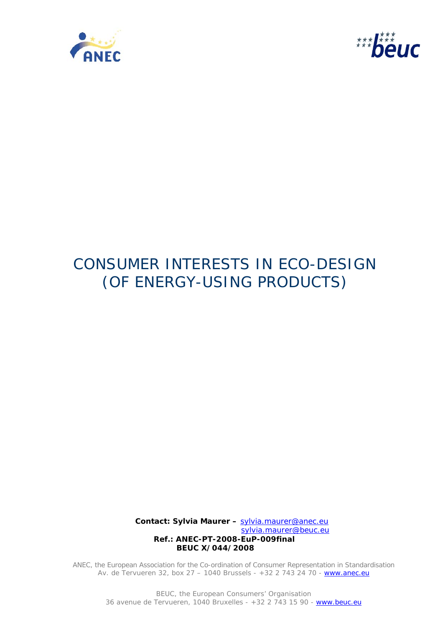



# CONSUMER INTERESTS IN ECO-DESIGN (OF ENERGY-USING PRODUCTS)

**Contact: Sylvia Maurer –** sylvia.maurer@anec.eu sylvia.maurer@beuc.eu  **Ref.: ANEC-PT-2008-EuP-009final BEUC X/044/2008**

ANEC, the European Association for the Co-ordination of Consumer Representation in Standardisation Av. de Tervueren 32, box 27 - 1040 Brussels - +32 2 743 24 70 - www.anec.eu

> BEUC, the European Consumers' Organisation 36 avenue de Tervueren, 1040 Bruxelles - +32 2 743 15 90 - www.beuc.eu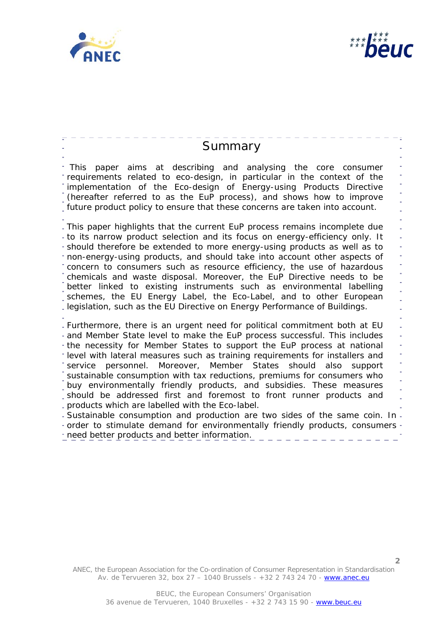



 $-\frac{1}{2}$ 

| Summary                                                                                                                                                                                                                                                                                                                                                                                                                                                                                                                                                                                                                                                                                                                                                                                                                                                                                  |  |
|------------------------------------------------------------------------------------------------------------------------------------------------------------------------------------------------------------------------------------------------------------------------------------------------------------------------------------------------------------------------------------------------------------------------------------------------------------------------------------------------------------------------------------------------------------------------------------------------------------------------------------------------------------------------------------------------------------------------------------------------------------------------------------------------------------------------------------------------------------------------------------------|--|
| This paper aims at describing and analysing the core<br>consumer<br>requirements related to eco-design, in particular in the context of the<br>implementation of the Eco-design of Energy-using Products Directive<br>(hereafter referred to as the EuP process), and shows how to improve<br>future product policy to ensure that these concerns are taken into account.                                                                                                                                                                                                                                                                                                                                                                                                                                                                                                                |  |
| - This paper highlights that the current EuP process remains incomplete due<br>- to its narrow product selection and its focus on energy-efficiency only. It<br>- should therefore be extended to more energy-using products as well as to<br>" non-energy-using products, and should take into account other aspects of<br>concern to consumers such as resource efficiency, the use of hazardous<br>chemicals and waste disposal. Moreover, the EuP Directive needs to be<br>better linked to existing instruments such as environmental labelling<br>schemes, the EU Energy Label, the Eco-Label, and to other European<br>legislation, such as the EU Directive on Energy Performance of Buildings.                                                                                                                                                                                  |  |
| - Furthermore, there is an urgent need for political commitment both at EU<br>- and Member State level to make the EuP process successful. This includes<br>the necessity for Member States to support the EuP process at national<br>*level with lateral measures such as training requirements for installers and<br>service personnel. Moreover, Member States should also<br>support<br>sustainable consumption with tax reductions, premiums for consumers who<br>buy environmentally friendly products, and subsidies. These measures<br>should be addressed first and foremost to front runner products and<br>products which are labelled with the Eco-label.<br>- Sustainable consumption and production are two sides of the same coin. In -<br>- order to stimulate demand for environmentally friendly products, consumers<br>- need better products and better information. |  |

 $\overline{\phantom{a}}$  $=$   $=$ 

ANEC, the European Association for the Co-ordination of Consumer Representation in Standardisation Av. de Tervueren 32, box 27 – 1040 Brussels - +32 2 743 24 70 - www.anec.eu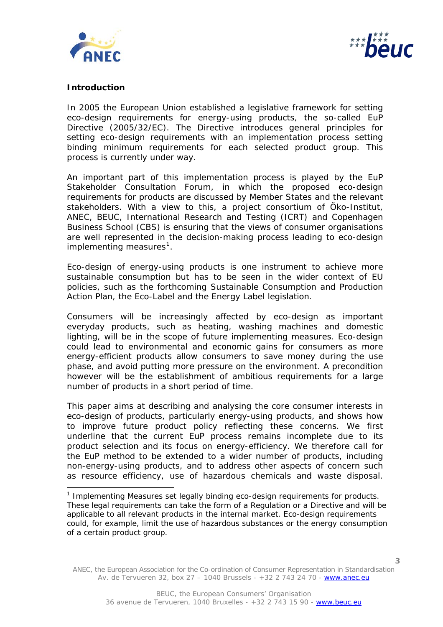



## **Introduction**

ł

In 2005 the European Union established a legislative framework for setting eco-design requirements for energy-using products, the so-called EuP Directive (2005/32/EC). The Directive introduces general principles for setting eco-design requirements with an implementation process setting binding minimum requirements for each selected product group. This process is currently under way.

An important part of this implementation process is played by the EuP Stakeholder Consultation Forum, in which the proposed eco-design requirements for products are discussed by Member States and the relevant stakeholders. With a view to this, a project consortium of Öko-Institut, ANEC, BEUC, International Research and Testing (ICRT) and Copenhagen Business School (CBS) is ensuring that the views of consumer organisations are well represented in the decision-making process leading to eco-design implementing measures<sup>[1](#page-2-0)</sup>.

Eco-design of energy-using products is one instrument to achieve more sustainable consumption but has to be seen in the wider context of EU policies, such as the forthcoming Sustainable Consumption and Production Action Plan, the Eco-Label and the Energy Label legislation.

Consumers will be increasingly affected by eco-design as important everyday products, such as heating, washing machines and domestic lighting, will be in the scope of future implementing measures. Eco-design could lead to environmental and economic gains for consumers as more energy-efficient products allow consumers to save money during the use phase, and avoid putting more pressure on the environment. A precondition however will be the establishment of ambitious requirements for a large number of products in a short period of time.

This paper aims at describing and analysing the core consumer interests in eco-design of products, particularly energy-using products, and shows how to improve future product policy reflecting these concerns. We first underline that the current EuP process remains incomplete due to its product selection and its focus on energy-efficiency. We therefore call for the EuP method to be extended to a wider number of products, including non-energy-using products, and to address other aspects of concern such as resource efficiency, use of hazardous chemicals and waste disposal.

<span id="page-2-0"></span><sup>&</sup>lt;sup>1</sup> Implementing Measures set legally binding eco-design requirements for products. These legal requirements can take the form of a Regulation or a Directive and will be applicable to all relevant products in the internal market. Eco-design requirements could, for example, limit the use of hazardous substances or the energy consumption of a certain product group.

ANEC, the European Association for the Co-ordination of Consumer Representation in Standardisation Av. de Tervueren 32, box 27 – 1040 Brussels - +32 2 743 24 70 - www.anec.eu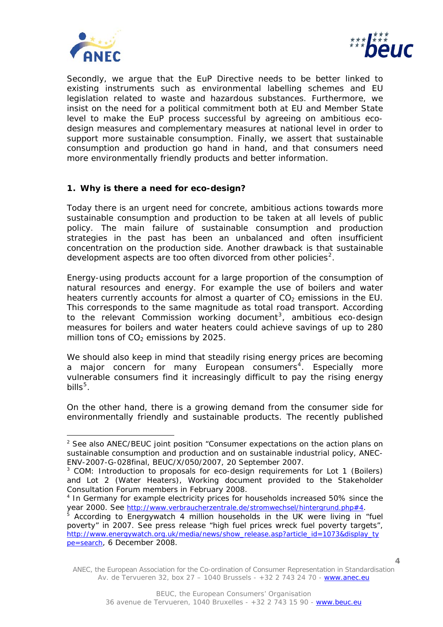



Secondly, we argue that the EuP Directive needs to be better linked to existing instruments such as environmental labelling schemes and EU legislation related to waste and hazardous substances. Furthermore, we insist on the need for a political commitment both at EU and Member State level to make the EuP process successful by agreeing on ambitious ecodesign measures and complementary measures at national level in order to support more sustainable consumption. Finally, we assert that sustainable consumption and production go hand in hand, and that consumers need more environmentally friendly products and better information.

## **1. Why is there a need for eco-design?**

Today there is an urgent need for concrete, ambitious actions towards more sustainable consumption and production to be taken at all levels of public policy. The main failure of sustainable consumption and production strategies in the past has been an unbalanced and often insufficient concentration on the production side. Another drawback is that sustainable development aspects are too often divorced from other policies<sup>[2](#page-3-0)</sup>.

Energy-using products account for a large proportion of the consumption of natural resources and energy. For example the use of boilers and water heaters currently accounts for almost a quarter of  $CO<sub>2</sub>$  emissions in the EU. This corresponds to the same magnitude as total road transport. According to the relevant Commission working document<sup>[3](#page-3-1)</sup>, ambitious eco-design measures for boilers and water heaters could achieve savings of up to 280 million tons of  $CO<sub>2</sub>$  emissions by 2025.

vulnerable consumers find it increasingly difficult to pay the rising energy bills $^5$ . We should also keep in mind that steadily rising energy prices are becoming a major concern for many European consumers<sup>[4](#page-3-2)</sup>. Especially more

environmentally friendly and sustainable products. The recently published On the other hand, there is a growing demand from the consumer side for

<span id="page-3-0"></span><sup>&</sup>lt;sup>2</sup> See also ANEC/BEUC joint position "Consumer expectations on the action plans on sustainable consumption and production and on sustainable industrial policy, ANEC-ENV-2007-G-028final, BEUC/X/050/2007, 20 September 2007.

<span id="page-3-1"></span><sup>&</sup>lt;sup>3</sup> COM: Introduction to proposals for eco-design requirements for Lot 1 (Boilers) and Lot 2 (Water Heaters), Working document provided to the Stakeholder Consultation Forum members in February 2008.

<span id="page-3-2"></span><sup>4</sup> In Germany for example electricity prices for households increased 50% since the year 2000. See<http://www.verbraucherzentrale.de/stromwechsel/hintergrund.php#4>.

 $5$  According to Energywatch 4 million households in the UK were living in "fuel poverty" in 2007. See press release "high fuel prices wreck fuel poverty targets", [http://www.energywatch.org.uk/media/news/show\\_release.asp?article\\_id=1073&display\\_ty](http://www.energywatch.org.uk/media/news/show_release.asp?article_id=1073&display_type=search) [pe=search,](http://www.energywatch.org.uk/media/news/show_release.asp?article_id=1073&display_type=search) 6 December 2008.

ANEC, the European Association for the Co-ordination of Consumer Representation in Standardisation Av. de Tervueren 32, box 27 – 1040 Brussels - +32 2 743 24 70 - www.anec.eu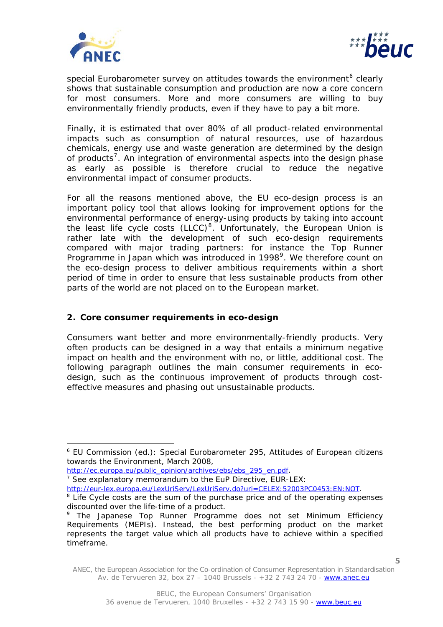

j.



special Eurobarometer survey on attitudes towards the environment<sup>[6](#page-4-0)</sup> clearly shows that sustainable consumption and production are now a core concern for most consumers. More and more consumers are willing to buy environmentally friendly products, even if they have to pay a bit more.

Finally, it is estimated that over 80% of all product-related environmental impacts such as consumption of natural resources, use of hazardous chemicals, energy use and waste generation are determined by the design of products<sup>[7](#page-4-1)</sup>. An integration of environmental aspects into the design phase as early as possible is therefore crucial to reduce the negative environmental impact of consumer products.

For all the reasons mentioned above, the EU eco-design process is an important policy tool that allows looking for improvement options for the environmental performance of energy-using products by taking into account the least life cycle costs  $(LLCC)^8$  $(LLCC)^8$ . Unfortunately, the European Union is rather late with the development of such eco-design requirements compared with major trading partners: for instance the Top Runner Programme in Japan which was introduced in 1[9](#page-4-3)98<sup>9</sup>. We therefore count on the eco-design process to deliver ambitious requirements within a short period of time in order to ensure that less sustainable products from other parts of the world are not placed on to the European market.

# **2. Core consumer requirements in eco-design**

Consumers want better and more environmentally-friendly products. Very often products can be designed in a way that entails a minimum negative impact on health and the environment with no, or little, additional cost. The following paragraph outlines the main consumer requirements in ecodesign, such as the continuous improvement of products through costeffective measures and phasing out unsustainable products.

[http://ec.europa.eu/public\\_opinion/archives/ebs/ebs\\_295\\_en.pdf](http://ec.europa.eu/public_opinion/archives/ebs/ebs_295_en.pdf).

<span id="page-4-1"></span> $\frac{7}{7}$  See explanatory memorandum to the EuP Directive, EUR-LEX:

<http://eur-lex.europa.eu/LexUriServ/LexUriServ.do?uri=CELEX:52003PC0453:EN:NOT>.

<span id="page-4-0"></span><sup>&</sup>lt;sup>6</sup> EU Commission (ed.): Special Eurobarometer 295, Attitudes of European citizens towards the Environment, March 2008,

<span id="page-4-2"></span><sup>&</sup>lt;sup>8</sup> Life Cycle costs are the sum of the purchase price and of the operating expenses discounted over the life-time of a product.

<span id="page-4-3"></span><sup>&</sup>lt;sup>9</sup> The Japanese Top Runner Programme does not set Minimum Efficiency Requirements (MEPIs). Instead, the best performing product on the market represents the target value which all products have to achieve within a specified timeframe.

ANEC, the European Association for the Co-ordination of Consumer Representation in Standardisation Av. de Tervueren 32, box 27 – 1040 Brussels - +32 2 743 24 70 - www.anec.eu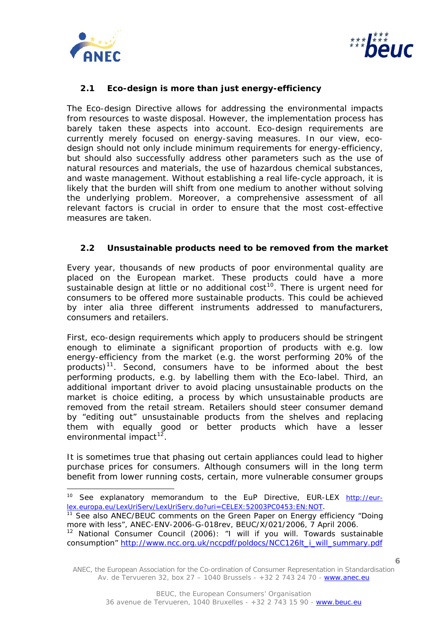

j.



# **2.1 Eco-design is more than just energy-efficiency**

The Eco-design Directive allows for addressing the environmental impacts from resources to waste disposal. However, the implementation process has barely taken these aspects into account. Eco-design requirements are currently merely focused on energy-saving measures. In our view, ecodesign should not only include minimum requirements for energy-efficiency, but should also successfully address other parameters such as the use of natural resources and materials, the use of hazardous chemical substances, and waste management. Without establishing a real life-cycle approach, it is likely that the burden will shift from one medium to another without solving the underlying problem. Moreover, a comprehensive assessment of all relevant factors is crucial in order to ensure that the most cost-effective measures are taken.

## **2.2 Unsustainable products need to be removed from the market**

Every year, thousands of new products of poor environmental quality are placed on the European market. These products could have a more sustainable design at little or no additional  $cost^{10}$  $cost^{10}$  $cost^{10}$ . There is urgent need for consumers to be offered more sustainable products. This could be achieved by *inter alia* three different instruments addressed to manufacturers, consumers and retailers.

First, eco-design requirements which apply to producers should be stringent enough to eliminate a significant proportion of products with e.g. low energy-efficiency from the market (e.g. the worst performing 20% of the products)<sup>[11](#page-5-1)</sup>. Second, consumers have to be informed about the best performing products, e.g. by labelling them with the Eco-label. Third, an additional important driver to avoid placing unsustainable products on the market is choice editing, a process by which unsustainable products are removed from the retail stream. Retailers should steer consumer demand by "editing out" unsustainable products from the shelves and replacing them with equally good or better products which have a lesser environmental impact $12$ .

It is sometimes true that phasing out certain appliances could lead to higher purchase prices for consumers. Although consumers will in the long term benefit from lower running costs, certain, more vulnerable consumer groups

<span id="page-5-0"></span><sup>&</sup>lt;sup>10</sup> See explanatory memorandum to the EuP Directive, EUR-LEX [http://eur](http://eur-lex.europa.eu/LexUriServ/LexUriServ.do?uri=CELEX:52003PC0453:EN:NOT)[lex.europa.eu/LexUriServ/LexUriServ.do?uri=CELEX:52003PC0453:EN:NOT.](http://eur-lex.europa.eu/LexUriServ/LexUriServ.do?uri=CELEX:52003PC0453:EN:NOT)<br><sup>11</sup> See also ANEC/BEUC comments on the Green Paper on Energy efficiency "Doing

<span id="page-5-1"></span>more with less", ANEC-ENV-2006-G-018rev, BEUC/X/021/2006, 7 April 2006.

<span id="page-5-2"></span> $12$  National Consumer Council (2006): "I will if you will. Towards sustainable consumption" [http://www.ncc.org.uk/nccpdf/poldocs/NCC126lt\\_i\\_will\\_summary.pdf](http://www.ncc.org.uk/nccpdf/poldocs/NCC126lt_i_will_summary.pdf)

ANEC, the European Association for the Co-ordination of Consumer Representation in Standardisation Av. de Tervueren 32, box 27 – 1040 Brussels - +32 2 743 24 70 - www.anec.eu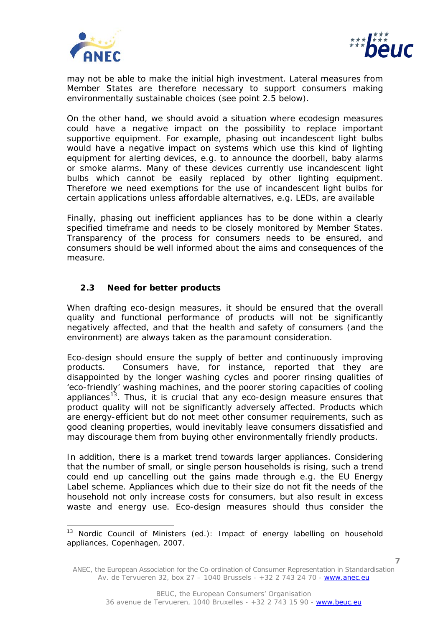



may not be able to make the initial high investment. Lateral measures from Member States are therefore necessary to support consumers making environmentally sustainable choices (see point 2.5 below).

On the other hand, we should avoid a situation where ecodesign measures could have a negative impact on the possibility to replace important supportive equipment. For example, phasing out incandescent light bulbs would have a negative impact on systems which use this kind of lighting equipment for alerting devices, e.g. to announce the doorbell, baby alarms or smoke alarms. Many of these devices currently use incandescent light bulbs which cannot be easily replaced by other lighting equipment. Therefore we need exemptions for the use of incandescent light bulbs for certain applications unless affordable alternatives, e.g. LEDs, are available

Finally, phasing out inefficient appliances has to be done within a clearly specified timeframe and needs to be closely monitored by Member States. Transparency of the process for consumers needs to be ensured, and consumers should be well informed about the aims and consequences of the measure.

# **2.3 Need for better products**

When drafting eco-design measures, it should be ensured that the overall quality and functional performance of products will not be significantly negatively affected, and that the health and safety of consumers (and the environment) are always taken as the paramount consideration.

Eco-design should ensure the supply of better and continuously improving products. Consumers have, for instance, reported that they are disappointed by the longer washing cycles and poorer rinsing qualities of 'eco-friendly' washing machines, and the poorer storing capacities of cooling appliances<sup>[13](#page-6-0)</sup>. Thus, it is crucial that any eco-design measure ensures that product quality will not be significantly adversely affected. Products which are energy-efficient but do not meet other consumer requirements, such as good cleaning properties, would inevitably leave consumers dissatisfied and may discourage them from buying other environmentally friendly products.

In addition, there is a market trend towards larger appliances. Considering that the number of small, or single person households is rising, such a trend could end up cancelling out the gains made through e.g. the EU Energy Label scheme. Appliances which due to their size do not fit the needs of the household not only increase costs for consumers, but also result in excess waste and energy use. Eco-design measures should thus consider the

<span id="page-6-0"></span> $13$  Nordic Council of Ministers (ed.): Impact of energy labelling on household appliances, Copenhagen, 2007.

ANEC, the European Association for the Co-ordination of Consumer Representation in Standardisation Av. de Tervueren 32, box 27 – 1040 Brussels - +32 2 743 24 70 - www.anec.eu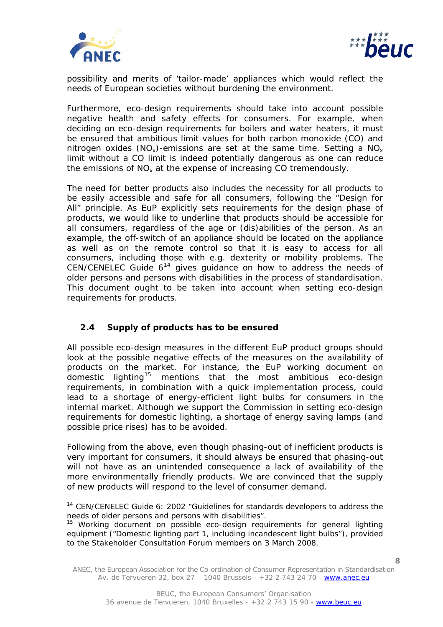

ł



possibility and merits of 'tailor-made' appliances which would reflect the needs of European societies without burdening the environment.

Furthermore, eco-design requirements should take into account possible negative health and safety effects for consumers. For example, when deciding on eco-design requirements for boilers and water heaters, it must be ensured that ambitious limit values for both carbon monoxide (CO) and nitrogen oxides (NO<sub>x</sub>)-emissions are set at the same time. Setting a NO<sub>x</sub> limit without a CO limit is indeed potentially dangerous as one can reduce the emissions of  $NO<sub>x</sub>$  at the expense of increasing CO tremendously.

The need for better products also includes the necessity for all products to be easily accessible and safe for all consumers, following the "Design for All" principle. As EuP explicitly sets requirements for the design phase of products, we would like to underline that products should be accessible for all consumers, regardless of the age or (dis)abilities of the person. As an example, the off-switch of an appliance should be located on the appliance as well as on the remote control so that it is easy to access for all consumers, including those with e.g. dexterity or mobility problems. The CEN/CENELEC Guide  $6^{14}$  $6^{14}$  $6^{14}$  gives guidance on how to address the needs of older persons and persons with disabilities in the process of standardisation. This document ought to be taken into account when setting eco-design requirements for products.

# **2.4 Supply of products has to be ensured**

All possible eco-design measures in the different EuP product groups should look at the possible negative effects of the measures on the availability of products on the market. For instance, the EuP working document on domestic lighting[15](#page-7-1) mentions that the most ambitious eco-design requirements, in combination with a quick implementation process, could lead to a shortage of energy-efficient light bulbs for consumers in the internal market. Although we support the Commission in setting eco-design requirements for domestic lighting, a shortage of energy saving lamps (and possible price rises) has to be avoided.

Following from the above, even though phasing-out of inefficient products is very important for consumers, it should always be ensured that phasing-out will not have as an unintended consequence a lack of availability of the more environmentally friendly products. We are convinced that the supply of new products will respond to the level of consumer demand.

<span id="page-7-0"></span><sup>&</sup>lt;sup>14</sup> CEN/CENELEC Guide 6: 2002 "Guidelines for standards developers to address the needs of older persons and persons with disabilities".

<span id="page-7-1"></span><sup>&</sup>lt;sup>15</sup> Working document on possible eco-design requirements for general lighting equipment ("Domestic lighting part 1, including incandescent light bulbs"), provided to the Stakeholder Consultation Forum members on 3 March 2008.

ANEC, the European Association for the Co-ordination of Consumer Representation in Standardisation Av. de Tervueren 32, box 27 – 1040 Brussels - +32 2 743 24 70 - www.anec.eu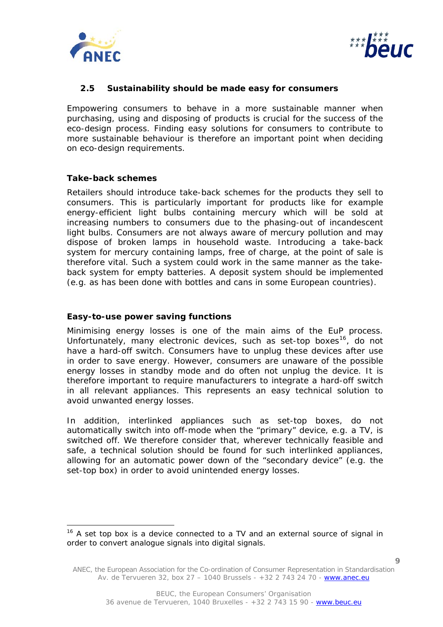



## **2.5 Sustainability should be made easy for consumers**

Empowering consumers to behave in a more sustainable manner when purchasing, using and disposing of products is crucial for the success of the eco-design process. Finding easy solutions for consumers to contribute to more sustainable behaviour is therefore an important point when deciding on eco-design requirements.

## *Take-back schemes*

l

Retailers should introduce take-back schemes for the products they sell to consumers. This is particularly important for products like for example energy-efficient light bulbs containing mercury which will be sold at increasing numbers to consumers due to the phasing-out of incandescent light bulbs. Consumers are not always aware of mercury pollution and may dispose of broken lamps in household waste. Introducing a take-back system for mercury containing lamps, free of charge, at the point of sale is therefore vital. Such a system could work in the same manner as the takeback system for empty batteries. A deposit system should be implemented (e.g. as has been done with bottles and cans in some European countries).

## *Easy-to-use power saving functions*

Minimising energy losses is one of the main aims of the EuP process. Unfortunately, many electronic devices, such as set-top boxes<sup>[16](#page-8-0)</sup>, do not have a hard-off switch. Consumers have to unplug these devices after use in order to save energy. However, consumers are unaware of the possible energy losses in standby mode and do often not unplug the device. It is therefore important to require manufacturers to integrate a hard-off switch in all relevant appliances. This represents an easy technical solution to avoid unwanted energy losses.

In addition, interlinked appliances such as set-top boxes, do not automatically switch into off-mode when the "primary" device, e.g. a TV, is switched off. We therefore consider that, wherever technically feasible and safe, a technical solution should be found for such interlinked appliances, allowing for an automatic power down of the "secondary device" (e.g. the set-top box) in order to avoid unintended energy losses.

<span id="page-8-0"></span> $16$  A set top box is a device connected to a TV and an external source of signal in order to convert analogue signals into digital signals.

ANEC, the European Association for the Co-ordination of Consumer Representation in Standardisation Av. de Tervueren 32, box 27 – 1040 Brussels - +32 2 743 24 70 - www.anec.eu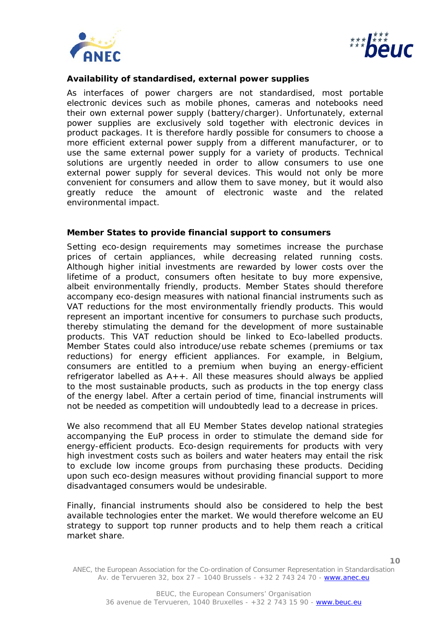



**10**

## *Availability of standardised, external power supplies*

As interfaces of power chargers are not standardised, most portable electronic devices such as mobile phones, cameras and notebooks need their own external power supply (battery/charger). Unfortunately, external power supplies are exclusively sold together with electronic devices in product packages. It is therefore hardly possible for consumers to choose a more efficient external power supply from a different manufacturer, or to use the same external power supply for a variety of products. Technical solutions are urgently needed in order to allow consumers to use one external power supply for several devices. This would not only be more convenient for consumers and allow them to save money, but it would also greatly reduce the amount of electronic waste and the related environmental impact.

#### *Member States to provide financial support to consumers*

Setting eco-design requirements may sometimes increase the purchase prices of certain appliances, while decreasing related running costs. Although higher initial investments are rewarded by lower costs over the lifetime of a product, consumers often hesitate to buy more expensive, albeit environmentally friendly, products. Member States should therefore accompany eco-design measures with national financial instruments such as VAT reductions for the most environmentally friendly products. This would represent an important incentive for consumers to purchase such products, thereby stimulating the demand for the development of more sustainable products. This VAT reduction should be linked to Eco-labelled products. Member States could also introduce/use rebate schemes (premiums or tax reductions) for energy efficient appliances. For example, in Belgium, consumers are entitled to a premium when buying an energy-efficient refrigerator labelled as  $A++$ . All these measures should always be applied to the most sustainable products, such as products in the top energy class of the energy label. After a certain period of time, financial instruments will not be needed as competition will undoubtedly lead to a decrease in prices.

We also recommend that all EU Member States develop national strategies accompanying the EuP process in order to stimulate the demand side for energy-efficient products. Eco-design requirements for products with very high investment costs such as boilers and water heaters may entail the risk to exclude low income groups from purchasing these products. Deciding upon such eco-design measures without providing financial support to more disadvantaged consumers would be undesirable.

Finally, financial instruments should also be considered to help the best available technologies enter the market. We would therefore welcome an EU strategy to support top runner products and to help them reach a critical market share.

ANEC, the European Association for the Co-ordination of Consumer Representation in Standardisation Av. de Tervueren 32, box 27 – 1040 Brussels - +32 2 743 24 70 - www.anec.eu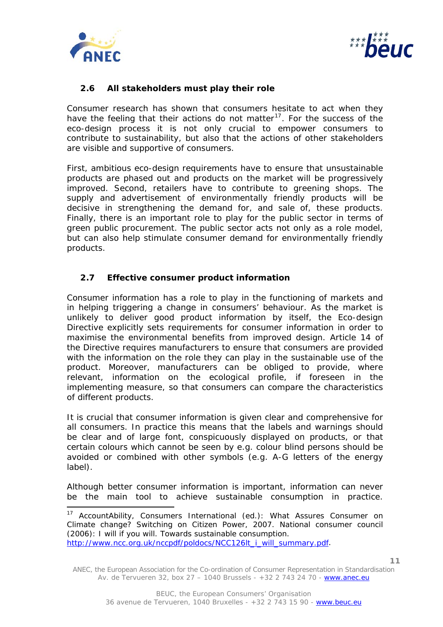



# **2.6 All stakeholders must play their role**

Consumer research has shown that consumers hesitate to act when they have the feeling that their actions do not matter<sup>[17](#page-10-0)</sup>. For the success of the eco-design process it is not only crucial to empower consumers to contribute to sustainability, but also that the actions of other stakeholders are visible and supportive of consumers.

First, ambitious eco-design requirements have to ensure that unsustainable products are phased out and products on the market will be progressively improved. Second, retailers have to contribute to greening shops. The supply and advertisement of environmentally friendly products will be decisive in strengthening the demand for, and sale of, these products. Finally, there is an important role to play for the public sector in terms of green public procurement. The public sector acts not only as a role model, but can also help stimulate consumer demand for environmentally friendly products.

## **2.7 Effective consumer product information**

Consumer information has a role to play in the functioning of markets and in helping triggering a change in consumers' behaviour. As the market is unlikely to deliver good product information by itself, the Eco-design Directive explicitly sets requirements for consumer information in order to maximise the environmental benefits from improved design. Article 14 of the Directive requires manufacturers to ensure that consumers are provided with the information on the role they can play in the sustainable use of the product. Moreover, manufacturers can be obliged to provide, where relevant, information on the ecological profile, if foreseen in the implementing measure, so that consumers can compare the characteristics of different products.

It is crucial that consumer information is given clear and comprehensive for all consumers. In practice this means that the labels and warnings should be clear and of large font, conspicuously displayed on products, or that certain colours which cannot be seen by e.g. colour blind persons should be avoided or combined with other symbols (e.g. A-G letters of the energy label).

Although better consumer information is important, information can never be the main tool to achieve sustainable consumption in practice.

<span id="page-10-0"></span><sup>&</sup>lt;sup>17</sup> AccountAbility, Consumers International (ed.): What Assures Consumer on Climate change? Switching on Citizen Power, 2007. National consumer council (2006): I will if you will. Towards sustainable consumption. [http://www.ncc.org.uk/nccpdf/poldocs/NCC126lt\\_i\\_will\\_summary.pdf](http://www.ncc.org.uk/nccpdf/poldocs/NCC126lt_i_will_summary.pdf).

ANEC, the European Association for the Co-ordination of Consumer Representation in Standardisation Av. de Tervueren 32, box 27 – 1040 Brussels - +32 2 743 24 70 - www.anec.eu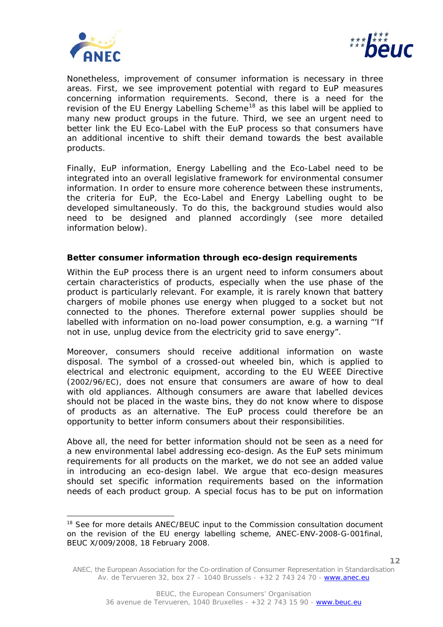

ł



**12**

Nonetheless, improvement of consumer information is necessary in three areas. First, we see improvement potential with regard to EuP measures concerning information requirements. Second, there is a need for the revision of the EU Energy Labelling Scheme<sup>[18](#page-11-0)</sup> as this label will be applied to many new product groups in the future. Third, we see an urgent need to better link the EU Eco-Label with the EuP process so that consumers have an additional incentive to shift their demand towards the best available products.

Finally, EuP information, Energy Labelling and the Eco-Label need to be integrated into an overall legislative framework for environmental consumer information. In order to ensure more coherence between these instruments, the criteria for EuP, the Eco-Label and Energy Labelling ought to be developed simultaneously. To do this, the background studies would also need to be designed and planned accordingly (see more detailed information below).

## *Better consumer information through eco-design requirements*

Within the EuP process there is an urgent need to inform consumers about certain characteristics of products, especially when the use phase of the product is particularly relevant. For example, it is rarely known that battery chargers of mobile phones use energy when plugged to a socket but not connected to the phones. Therefore external power supplies should be labelled with information on no-load power consumption, e.g. a warning "'If not in use, unplug device from the electricity grid to save energy".

Moreover, consumers should receive additional information on waste disposal. The symbol of a crossed-out wheeled bin, which is applied to electrical and electronic equipment, according to the EU WEEE Directive (2002/96/EC), does not ensure that consumers are aware of how to deal with old appliances. Although consumers are aware that labelled devices should not be placed in the waste bins, they do not know where to dispose of products as an alternative. The EuP process could therefore be an opportunity to better inform consumers about their responsibilities.

Above all, the need for better information should not be seen as a need for a new environmental label addressing eco-design. As the EuP sets minimum requirements for all products on the market, we do not see an added value in introducing an eco-design label. We argue that eco-design measures should set specific information requirements based on the information needs of each product group. A special focus has to be put on information

<span id="page-11-0"></span><sup>&</sup>lt;sup>18</sup> See for more details ANEC/BEUC input to the Commission consultation document on the revision of the EU energy labelling scheme, ANEC-ENV-2008-G-001final, BEUC X/009/2008, 18 February 2008.

ANEC, the European Association for the Co-ordination of Consumer Representation in Standardisation Av. de Tervueren 32, box 27 – 1040 Brussels - +32 2 743 24 70 - www.anec.eu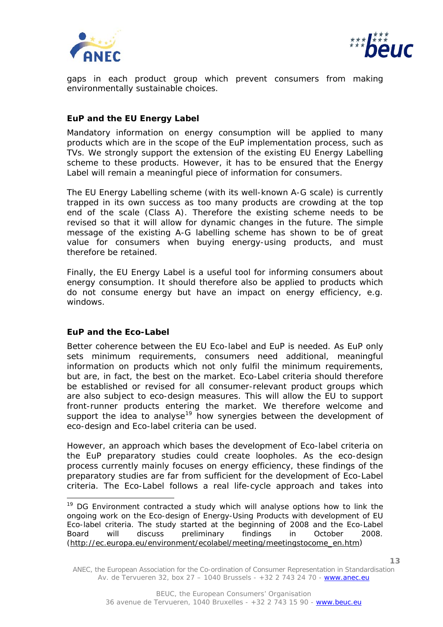



gaps in each product group which prevent consumers from making environmentally sustainable choices.

## *EuP and the EU Energy Label*

Mandatory information on energy consumption will be applied to many products which are in the scope of the EuP implementation process, such as TVs. We strongly support the extension of the existing EU Energy Labelling scheme to these products. However, it has to be ensured that the Energy Label will remain a meaningful piece of information for consumers.

The EU Energy Labelling scheme (with its well-known A-G scale) is currently trapped in its own success as too many products are crowding at the top end of the scale (Class A). Therefore the existing scheme needs to be revised so that it will allow for dynamic changes in the future. The simple message of the existing A-G labelling scheme has shown to be of great value for consumers when buying energy-using products, and must therefore be retained.

Finally, the EU Energy Label is a useful tool for informing consumers about energy consumption. It should therefore also be applied to products which do not consume energy but have an impact on energy efficiency, e.g. windows.

## *EuP and the Eco-Label*

ł

Better coherence between the EU Eco-label and EuP is needed. As EuP only sets minimum requirements, consumers need additional, meaningful information on products which not only fulfil the minimum requirements, but are, in fact, the best on the market. Eco-Label criteria should therefore be established or revised for all consumer-relevant product groups which are also subject to eco-design measures. This will allow the EU to support front-runner products entering the market. We therefore welcome and support the idea to analyse<sup>[19](#page-12-0)</sup> how synergies between the development of eco-design and Eco-label criteria can be used.

However, an approach which bases the development of Eco-label criteria on the EuP preparatory studies could create loopholes. As the eco-design process currently mainly focuses on energy efficiency, these findings of the preparatory studies are far from sufficient for the development of Eco-Label criteria. The Eco-Label follows a real life-cycle approach and takes into

<span id="page-12-0"></span><sup>&</sup>lt;sup>19</sup> DG Environment contracted a study which will analyse options how to link the ongoing work on the Eco-design of Energy-Using Products with development of EU Eco-label criteria. The study started at the beginning of 2008 and the Eco-Label Board will discuss preliminary findings in October 2008. [\(http://ec.europa.eu/environment/ecolabel/meeting/meetingstocome\\_en.htm\)](http://ec.europa.eu/environment/ecolabel/meeting/meetingstocome_en.htm)

ANEC, the European Association for the Co-ordination of Consumer Representation in Standardisation Av. de Tervueren 32, box 27 – 1040 Brussels - +32 2 743 24 70 - www.anec.eu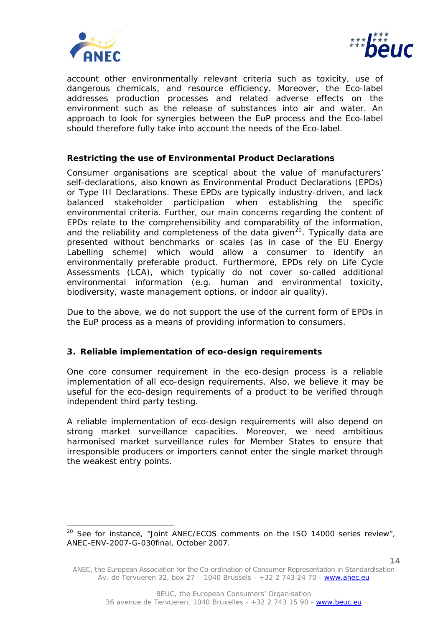



account other environmentally relevant criteria such as toxicity, use of dangerous chemicals, and resource efficiency. Moreover, the Eco-label addresses production processes and related adverse effects on the environment such as the release of substances into air and water. An approach to look for synergies between the EuP process and the Eco-label should therefore fully take into account the needs of the Eco-label.

# *Restricting the use of Environmental Product Declarations*

Consumer organisations are sceptical about the value of manufacturers' self-declarations, also known as Environmental Product Declarations (EPDs) or Type III Declarations. These EPDs are typically industry-driven, and lack balanced stakeholder participation when establishing the specific environmental criteria. Further, our main concerns regarding the content of EPDs relate to the comprehensibility and comparability of the information, and the reliability and completeness of the data given<sup>[20](#page-13-0)</sup>. Typically data are presented without benchmarks or scales (as in case of the EU Energy Labelling scheme) which would allow a consumer to identify an environmentally preferable product. Furthermore, EPDs rely on Life Cycle Assessments (LCA), which typically do not cover so-called additional environmental information (e.g. human and environmental toxicity, biodiversity, waste management options, or indoor air quality).

Due to the above, we do not support the use of the current form of EPDs in the EuP process as a means of providing information to consumers.

## **3. Reliable implementation of eco-design requirements**

One core consumer requirement in the eco-design process is a reliable implementation of all eco-design requirements. Also, we believe it may be useful for the eco-design requirements of a product to be verified through independent third party testing.

A reliable implementation of eco-design requirements will also depend on strong market surveillance capacities. Moreover, we need ambitious harmonised market surveillance rules for Member States to ensure that irresponsible producers or importers cannot enter the single market through the weakest entry points.

<span id="page-13-0"></span> $20$  See for instance, "Joint ANEC/ECOS comments on the ISO 14000 series review", ANEC-ENV-2007-G-030final, October 2007.

ANEC, the European Association for the Co-ordination of Consumer Representation in Standardisation Av. de Tervueren 32, box 27 – 1040 Brussels - +32 2 743 24 70 - www.anec.eu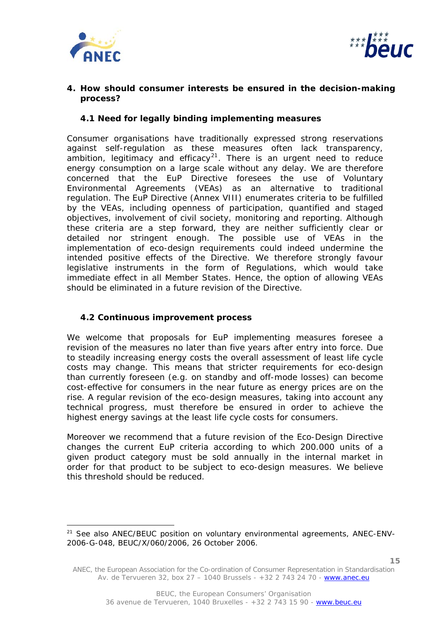



## **4. How should consumer interests be ensured in the decision-making process?**

## **4.1 Need for legally binding implementing measures**

Consumer organisations have traditionally expressed strong reservations against self-regulation as these measures often lack transparency, ambition, legitimacy and efficacy<sup>[21](#page-14-0)</sup>. There is an urgent need to reduce energy consumption on a large scale without any delay. We are therefore concerned that the EuP Directive foresees the use of Voluntary Environmental Agreements (VEAs) as an alternative to traditional regulation. The EuP Directive (Annex VIII) enumerates criteria to be fulfilled by the VEAs, including openness of participation, quantified and staged objectives, involvement of civil society, monitoring and reporting. Although these criteria are a step forward, they are neither sufficiently clear or detailed nor stringent enough. The possible use of VEAs in the implementation of eco-design requirements could indeed undermine the intended positive effects of the Directive. We therefore strongly favour legislative instruments in the form of Regulations, which would take immediate effect in all Member States. Hence, the option of allowing VEAs should be eliminated in a future revision of the Directive.

# **4.2 Continuous improvement process**

We welcome that proposals for EuP implementing measures foresee a revision of the measures no later than five years after entry into force. Due to steadily increasing energy costs the overall assessment of least life cycle costs may change. This means that stricter requirements for eco-design than currently foreseen (e.g. on standby and off-mode losses) can become cost-effective for consumers in the near future as energy prices are on the rise. A regular revision of the eco-design measures, taking into account any technical progress, must therefore be ensured in order to achieve the highest energy savings at the least life cycle costs for consumers.

Moreover we recommend that a future revision of the Eco-Design Directive changes the current EuP criteria according to which 200.000 units of a given product category must be sold annually in the internal market in order for that product to be subject to eco-design measures. We believe this threshold should be reduced.

<span id="page-14-0"></span><sup>&</sup>lt;sup>21</sup> See also ANEC/BEUC position on voluntary environmental agreements, ANEC-ENV-2006-G-048, BEUC/X/060/2006, 26 October 2006.

ANEC, the European Association for the Co-ordination of Consumer Representation in Standardisation Av. de Tervueren 32, box 27 – 1040 Brussels - +32 2 743 24 70 - www.anec.eu